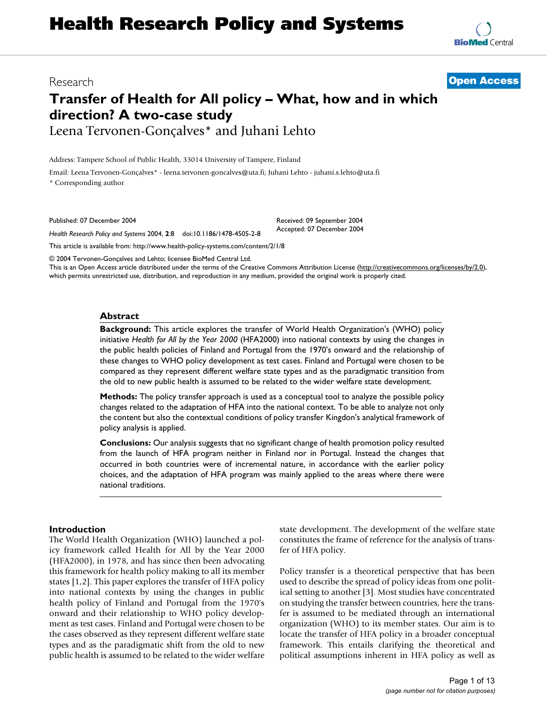# **Health Research Policy and Systems**

# Research **[Open Access](http://www.biomedcentral.com/info/about/charter/)**

# **Transfer of Health for All policy – What, how and in which direction? A two-case study** Leena Tervonen-Gonçalves\* and Juhani Lehto

Address: Tampere School of Public Health, 33014 University of Tampere, Finland

Email: Leena Tervonen-Gonçalves\* - leena.tervonen-goncalves@uta.fi; Juhani Lehto - juhani.s.lehto@uta.fi

\* Corresponding author

Published: 07 December 2004

*Health Research Policy and Systems* 2004, **2**:8 doi:10.1186/1478-4505-2-8

[This article is available from: http://www.health-policy-systems.com/content/2/1/8](http://www.health-policy-systems.com/content/2/1/8)

© 2004 Tervonen-Gonçalves and Lehto; licensee BioMed Central Ltd.

This is an Open Access article distributed under the terms of the Creative Commons Attribution License [\(http://creativecommons.org/licenses/by/2.0\)](http://creativecommons.org/licenses/by/2.0), which permits unrestricted use, distribution, and reproduction in any medium, provided the original work is properly cited.

Received: 09 September 2004 Accepted: 07 December 2004

#### **Abstract**

**Background:** This article explores the transfer of World Health Organization's (WHO) policy initiative *Health for All by the Year 2000* (HFA2000) into national contexts by using the changes in the public health policies of Finland and Portugal from the 1970's onward and the relationship of these changes to WHO policy development as test cases. Finland and Portugal were chosen to be compared as they represent different welfare state types and as the paradigmatic transition from the old to new public health is assumed to be related to the wider welfare state development.

**Methods:** The policy transfer approach is used as a conceptual tool to analyze the possible policy changes related to the adaptation of HFA into the national context. To be able to analyze not only the content but also the contextual conditions of policy transfer Kingdon's analytical framework of policy analysis is applied.

**Conclusions:** Our analysis suggests that no significant change of health promotion policy resulted from the launch of HFA program neither in Finland nor in Portugal. Instead the changes that occurred in both countries were of incremental nature, in accordance with the earlier policy choices, and the adaptation of HFA program was mainly applied to the areas where there were national traditions.

#### **Introduction**

The World Health Organization (WHO) launched a policy framework called Health for All by the Year 2000 (HFA2000), in 1978, and has since then been advocating this framework for health policy making to all its member states [1,2]. This paper explores the transfer of HFA policy into national contexts by using the changes in public health policy of Finland and Portugal from the 1970's onward and their relationship to WHO policy development as test cases. Finland and Portugal were chosen to be the cases observed as they represent different welfare state types and as the paradigmatic shift from the old to new public health is assumed to be related to the wider welfare state development. The development of the welfare state constitutes the frame of reference for the analysis of transfer of HFA policy.

Policy transfer is a theoretical perspective that has been used to describe the spread of policy ideas from one political setting to another [3]. Most studies have concentrated on studying the transfer between countries, here the transfer is assumed to be mediated through an international organization (WHO) to its member states. Our aim is to locate the transfer of HFA policy in a broader conceptual framework. This entails clarifying the theoretical and political assumptions inherent in HFA policy as well as

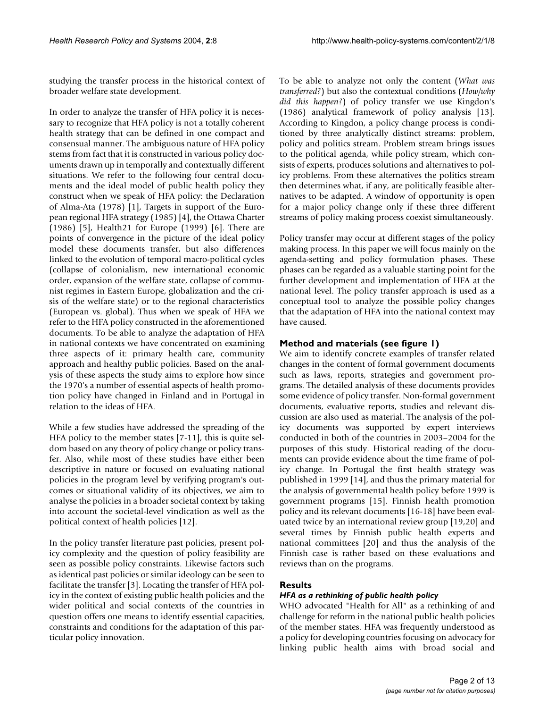studying the transfer process in the historical context of broader welfare state development.

In order to analyze the transfer of HFA policy it is necessary to recognize that HFA policy is not a totally coherent health strategy that can be defined in one compact and consensual manner. The ambiguous nature of HFA policy stems from fact that it is constructed in various policy documents drawn up in temporally and contextually different situations. We refer to the following four central documents and the ideal model of public health policy they construct when we speak of HFA policy: the Declaration of Alma-Ata (1978) [1], Targets in support of the European regional HFA strategy (1985) [4], the Ottawa Charter (1986) [5], Health21 for Europe (1999) [6]. There are points of convergence in the picture of the ideal policy model these documents transfer, but also differences linked to the evolution of temporal macro-political cycles (collapse of colonialism, new international economic order, expansion of the welfare state, collapse of communist regimes in Eastern Europe, globalization and the crisis of the welfare state) or to the regional characteristics (European vs. global). Thus when we speak of HFA we refer to the HFA policy constructed in the aforementioned documents. To be able to analyze the adaptation of HFA in national contexts we have concentrated on examining three aspects of it: primary health care, community approach and healthy public policies. Based on the analysis of these aspects the study aims to explore how since the 1970's a number of essential aspects of health promotion policy have changed in Finland and in Portugal in relation to the ideas of HFA.

While a few studies have addressed the spreading of the HFA policy to the member states [7-11], this is quite seldom based on any theory of policy change or policy transfer. Also, while most of these studies have either been descriptive in nature or focused on evaluating national policies in the program level by verifying program's outcomes or situational validity of its objectives, we aim to analyse the policies in a broader societal context by taking into account the societal-level vindication as well as the political context of health policies [12].

In the policy transfer literature past policies, present policy complexity and the question of policy feasibility are seen as possible policy constraints. Likewise factors such as identical past policies or similar ideology can be seen to facilitate the transfer [3]. Locating the transfer of HFA policy in the context of existing public health policies and the wider political and social contexts of the countries in question offers one means to identify essential capacities, constraints and conditions for the adaptation of this particular policy innovation.

To be able to analyze not only the content (*What was transferred?*) but also the contextual conditions (*How/why did this happen?*) of policy transfer we use Kingdon's (1986) analytical framework of policy analysis [13]. According to Kingdon, a policy change process is conditioned by three analytically distinct streams: problem, policy and politics stream. Problem stream brings issues to the political agenda, while policy stream, which consists of experts, produces solutions and alternatives to policy problems. From these alternatives the politics stream then determines what, if any, are politically feasible alternatives to be adapted. A window of opportunity is open for a major policy change only if these three different streams of policy making process coexist simultaneously.

Policy transfer may occur at different stages of the policy making process. In this paper we will focus mainly on the agenda-setting and policy formulation phases. These phases can be regarded as a valuable starting point for the further development and implementation of HFA at the national level. The policy transfer approach is used as a conceptual tool to analyze the possible policy changes that the adaptation of HFA into the national context may have caused.

# **Method and materials (see figure [1\)](#page-2-0)**

We aim to identify concrete examples of transfer related changes in the content of formal government documents such as laws, reports, strategies and government programs. The detailed analysis of these documents provides some evidence of policy transfer. Non-formal government documents, evaluative reports, studies and relevant discussion are also used as material. The analysis of the policy documents was supported by expert interviews conducted in both of the countries in 2003–2004 for the purposes of this study. Historical reading of the documents can provide evidence about the time frame of policy change. In Portugal the first health strategy was published in 1999 [14], and thus the primary material for the analysis of governmental health policy before 1999 is government programs [15]. Finnish health promotion policy and its relevant documents [16-18] have been evaluated twice by an international review group [19,20] and several times by Finnish public health experts and national committees [20] and thus the analysis of the Finnish case is rather based on these evaluations and reviews than on the programs.

#### **Results**

#### *HFA as a rethinking of public health policy*

WHO advocated "Health for All" as a rethinking of and challenge for reform in the national public health policies of the member states. HFA was frequently understood as a policy for developing countries focusing on advocacy for linking public health aims with broad social and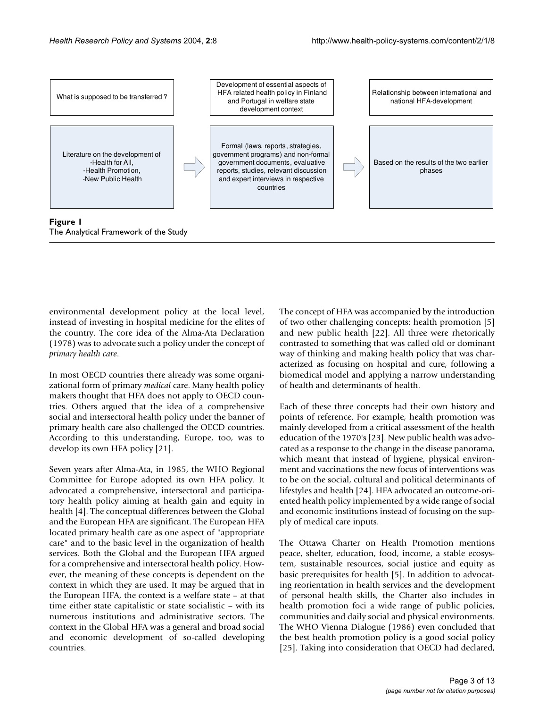<span id="page-2-0"></span>

environmental development policy at the local level, instead of investing in hospital medicine for the elites of the country. The core idea of the Alma-Ata Declaration (1978) was to advocate such a policy under the concept of *primary health care*.

In most OECD countries there already was some organizational form of primary *medical* care. Many health policy makers thought that HFA does not apply to OECD countries. Others argued that the idea of a comprehensive social and intersectoral health policy under the banner of primary health care also challenged the OECD countries. According to this understanding, Europe, too, was to develop its own HFA policy [21].

Seven years after Alma-Ata, in 1985, the WHO Regional Committee for Europe adopted its own HFA policy. It advocated a comprehensive, intersectoral and participatory health policy aiming at health gain and equity in health [4]. The conceptual differences between the Global and the European HFA are significant. The European HFA located primary health care as one aspect of "appropriate care" and to the basic level in the organization of health services. Both the Global and the European HFA argued for a comprehensive and intersectoral health policy. However, the meaning of these concepts is dependent on the context in which they are used. It may be argued that in the European HFA, the context is a welfare state – at that time either state capitalistic or state socialistic – with its numerous institutions and administrative sectors. The context in the Global HFA was a general and broad social and economic development of so-called developing countries.

The concept of HFA was accompanied by the introduction of two other challenging concepts: health promotion [5] and new public health [22]. All three were rhetorically contrasted to something that was called old or dominant way of thinking and making health policy that was characterized as focusing on hospital and cure, following a biomedical model and applying a narrow understanding of health and determinants of health.

Each of these three concepts had their own history and points of reference. For example, health promotion was mainly developed from a critical assessment of the health education of the 1970's [23]. New public health was advocated as a response to the change in the disease panorama, which meant that instead of hygiene, physical environment and vaccinations the new focus of interventions was to be on the social, cultural and political determinants of lifestyles and health [24]. HFA advocated an outcome-oriented health policy implemented by a wide range of social and economic institutions instead of focusing on the supply of medical care inputs.

The Ottawa Charter on Health Promotion mentions peace, shelter, education, food, income, a stable ecosystem, sustainable resources, social justice and equity as basic prerequisites for health [5]. In addition to advocating reorientation in health services and the development of personal health skills, the Charter also includes in health promotion foci a wide range of public policies, communities and daily social and physical environments. The WHO Vienna Dialogue (1986) even concluded that the best health promotion policy is a good social policy [25]. Taking into consideration that OECD had declared,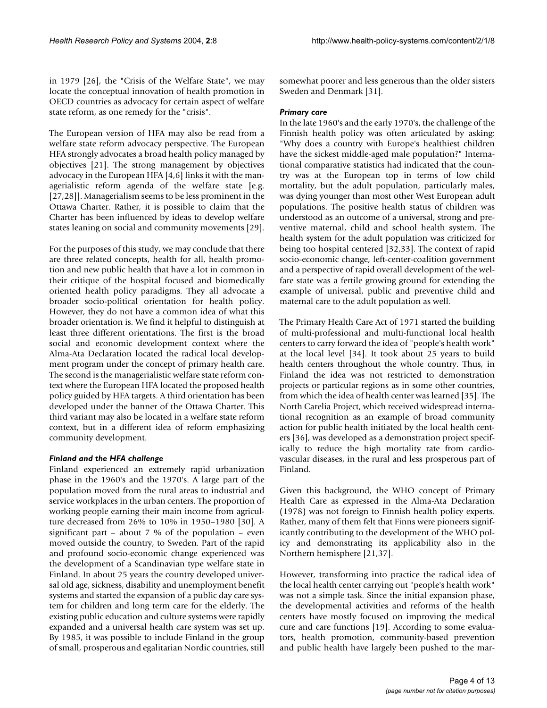in 1979 [26], the "Crisis of the Welfare State", we may locate the conceptual innovation of health promotion in OECD countries as advocacy for certain aspect of welfare state reform, as one remedy for the "crisis".

The European version of HFA may also be read from a welfare state reform advocacy perspective. The European HFA strongly advocates a broad health policy managed by objectives [21]. The strong management by objectives advocacy in the European HFA [4,6] links it with the managerialistic reform agenda of the welfare state [e.g. [27,28]]. Managerialism seems to be less prominent in the Ottawa Charter. Rather, it is possible to claim that the Charter has been influenced by ideas to develop welfare states leaning on social and community movements [29].

For the purposes of this study, we may conclude that there are three related concepts, health for all, health promotion and new public health that have a lot in common in their critique of the hospital focused and biomedically oriented health policy paradigms. They all advocate a broader socio-political orientation for health policy. However, they do not have a common idea of what this broader orientation is. We find it helpful to distinguish at least three different orientations. The first is the broad social and economic development context where the Alma-Ata Declaration located the radical local development program under the concept of primary health care. The second is the managerialistic welfare state reform context where the European HFA located the proposed health policy guided by HFA targets. A third orientation has been developed under the banner of the Ottawa Charter. This third variant may also be located in a welfare state reform context, but in a different idea of reform emphasizing community development.

# *Finland and the HFA challenge*

Finland experienced an extremely rapid urbanization phase in the 1960's and the 1970's. A large part of the population moved from the rural areas to industrial and service workplaces in the urban centers. The proportion of working people earning their main income from agriculture decreased from 26% to 10% in 1950–1980 [30]. A significant part – about  $7\%$  of the population – even moved outside the country, to Sweden. Part of the rapid and profound socio-economic change experienced was the development of a Scandinavian type welfare state in Finland. In about 25 years the country developed universal old age, sickness, disability and unemployment benefit systems and started the expansion of a public day care system for children and long term care for the elderly. The existing public education and culture systems were rapidly expanded and a universal health care system was set up. By 1985, it was possible to include Finland in the group of small, prosperous and egalitarian Nordic countries, still

somewhat poorer and less generous than the older sisters Sweden and Denmark [31].

#### *Primary care*

In the late 1960's and the early 1970's, the challenge of the Finnish health policy was often articulated by asking: "Why does a country with Europe's healthiest children have the sickest middle-aged male population?" International comparative statistics had indicated that the country was at the European top in terms of low child mortality, but the adult population, particularly males, was dying younger than most other West European adult populations. The positive health status of children was understood as an outcome of a universal, strong and preventive maternal, child and school health system. The health system for the adult population was criticized for being too hospital centered [32,33]. The context of rapid socio-economic change, left-center-coalition government and a perspective of rapid overall development of the welfare state was a fertile growing ground for extending the example of universal, public and preventive child and maternal care to the adult population as well.

The Primary Health Care Act of 1971 started the building of multi-professional and multi-functional local health centers to carry forward the idea of "people's health work" at the local level [34]. It took about 25 years to build health centers throughout the whole country. Thus, in Finland the idea was not restricted to demonstration projects or particular regions as in some other countries, from which the idea of health center was learned [35]. The North Carelia Project, which received widespread international recognition as an example of broad community action for public health initiated by the local health centers [36], was developed as a demonstration project specifically to reduce the high mortality rate from cardiovascular diseases, in the rural and less prosperous part of Finland.

Given this background, the WHO concept of Primary Health Care as expressed in the Alma-Ata Declaration (1978) was not foreign to Finnish health policy experts. Rather, many of them felt that Finns were pioneers significantly contributing to the development of the WHO policy and demonstrating its applicability also in the Northern hemisphere [21,37].

However, transforming into practice the radical idea of the local health center carrying out "people's health work" was not a simple task. Since the initial expansion phase, the developmental activities and reforms of the health centers have mostly focused on improving the medical cure and care functions [19]. According to some evaluators, health promotion, community-based prevention and public health have largely been pushed to the mar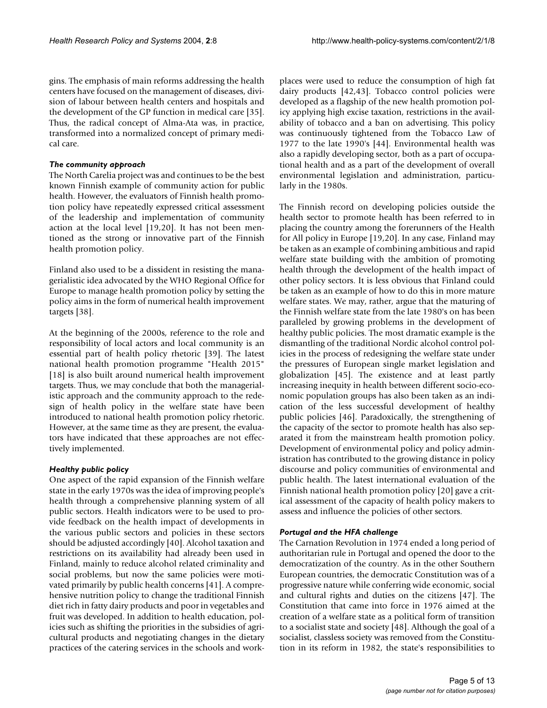gins. The emphasis of main reforms addressing the health centers have focused on the management of diseases, division of labour between health centers and hospitals and the development of the GP function in medical care [35]. Thus, the radical concept of Alma-Ata was, in practice, transformed into a normalized concept of primary medical care.

### *The community approach*

The North Carelia project was and continues to be the best known Finnish example of community action for public health. However, the evaluators of Finnish health promotion policy have repeatedly expressed critical assessment of the leadership and implementation of community action at the local level [19,20]. It has not been mentioned as the strong or innovative part of the Finnish health promotion policy.

Finland also used to be a dissident in resisting the managerialistic idea advocated by the WHO Regional Office for Europe to manage health promotion policy by setting the policy aims in the form of numerical health improvement targets [38].

At the beginning of the 2000s, reference to the role and responsibility of local actors and local community is an essential part of health policy rhetoric [39]. The latest national health promotion programme "Health 2015" [18] is also built around numerical health improvement targets. Thus, we may conclude that both the managerialistic approach and the community approach to the redesign of health policy in the welfare state have been introduced to national health promotion policy rhetoric. However, at the same time as they are present, the evaluators have indicated that these approaches are not effectively implemented.

# *Healthy public policy*

One aspect of the rapid expansion of the Finnish welfare state in the early 1970s was the idea of improving people's health through a comprehensive planning system of all public sectors. Health indicators were to be used to provide feedback on the health impact of developments in the various public sectors and policies in these sectors should be adjusted accordingly [40]. Alcohol taxation and restrictions on its availability had already been used in Finland, mainly to reduce alcohol related criminality and social problems, but now the same policies were motivated primarily by public health concerns [41]. A comprehensive nutrition policy to change the traditional Finnish diet rich in fatty dairy products and poor in vegetables and fruit was developed. In addition to health education, policies such as shifting the priorities in the subsidies of agricultural products and negotiating changes in the dietary practices of the catering services in the schools and workplaces were used to reduce the consumption of high fat dairy products [42,43]. Tobacco control policies were developed as a flagship of the new health promotion policy applying high excise taxation, restrictions in the availability of tobacco and a ban on advertising. This policy was continuously tightened from the Tobacco Law of 1977 to the late 1990's [44]. Environmental health was also a rapidly developing sector, both as a part of occupational health and as a part of the development of overall environmental legislation and administration, particularly in the 1980s.

The Finnish record on developing policies outside the health sector to promote health has been referred to in placing the country among the forerunners of the Health for All policy in Europe [19,20]. In any case, Finland may be taken as an example of combining ambitious and rapid welfare state building with the ambition of promoting health through the development of the health impact of other policy sectors. It is less obvious that Finland could be taken as an example of how to do this in more mature welfare states. We may, rather, argue that the maturing of the Finnish welfare state from the late 1980's on has been paralleled by growing problems in the development of healthy public policies. The most dramatic example is the dismantling of the traditional Nordic alcohol control policies in the process of redesigning the welfare state under the pressures of European single market legislation and globalization [45]. The existence and at least partly increasing inequity in health between different socio-economic population groups has also been taken as an indication of the less successful development of healthy public policies [46]. Paradoxically, the strengthening of the capacity of the sector to promote health has also separated it from the mainstream health promotion policy. Development of environmental policy and policy administration has contributed to the growing distance in policy discourse and policy communities of environmental and public health. The latest international evaluation of the Finnish national health promotion policy [20] gave a critical assessment of the capacity of health policy makers to assess and influence the policies of other sectors.

# *Portugal and the HFA challenge*

The Carnation Revolution in 1974 ended a long period of authoritarian rule in Portugal and opened the door to the democratization of the country. As in the other Southern European countries, the democratic Constitution was of a progressive nature while conferring wide economic, social and cultural rights and duties on the citizens [47]. The Constitution that came into force in 1976 aimed at the creation of a welfare state as a political form of transition to a socialist state and society [48]. Although the goal of a socialist, classless society was removed from the Constitution in its reform in 1982, the state's responsibilities to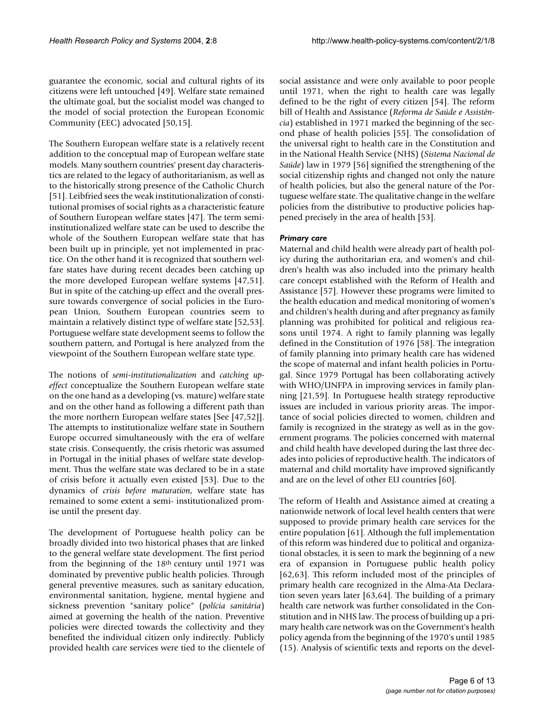guarantee the economic, social and cultural rights of its citizens were left untouched [49]. Welfare state remained the ultimate goal, but the socialist model was changed to the model of social protection the European Economic Community (EEC) advocated [50,15].

The Southern European welfare state is a relatively recent addition to the conceptual map of European welfare state models. Many southern countries' present day characteristics are related to the legacy of authoritarianism, as well as to the historically strong presence of the Catholic Church [51]. Leibfried sees the weak institutionalization of constitutional promises of social rights as a characteristic feature of Southern European welfare states [47]. The term semiinstitutionalized welfare state can be used to describe the whole of the Southern European welfare state that has been built up in principle, yet not implemented in practice. On the other hand it is recognized that southern welfare states have during recent decades been catching up the more developed European welfare systems [47,51]. But in spite of the catching-up effect and the overall pressure towards convergence of social policies in the European Union, Southern European countries seem to maintain a relatively distinct type of welfare state [52,53]. Portuguese welfare state development seems to follow the southern pattern, and Portugal is here analyzed from the viewpoint of the Southern European welfare state type.

The notions of *semi-institutionalization* and *catching upeffect* conceptualize the Southern European welfare state on the one hand as a developing (vs. mature) welfare state and on the other hand as following a different path than the more northern European welfare states [See [47,52]]. The attempts to institutionalize welfare state in Southern Europe occurred simultaneously with the era of welfare state crisis. Consequently, the crisis rhetoric was assumed in Portugal in the initial phases of welfare state development. Thus the welfare state was declared to be in a state of crisis before it actually even existed [53]. Due to the dynamics of *crisis before maturation*, welfare state has remained to some extent a semi- institutionalized promise until the present day.

The development of Portuguese health policy can be broadly divided into two historical phases that are linked to the general welfare state development. The first period from the beginning of the 18th century until 1971 was dominated by preventive public health policies. Through general preventive measures, such as sanitary education, environmental sanitation, hygiene, mental hygiene and sickness prevention "sanitary police" (*polícia sanitária*) aimed at governing the health of the nation. Preventive policies were directed towards the collectivity and they benefited the individual citizen only indirectly. Publicly provided health care services were tied to the clientele of social assistance and were only available to poor people until 1971, when the right to health care was legally defined to be the right of every citizen [54]. The reform bill of Health and Assistance (*Reforma de Saúde e Assistência*) established in 1971 marked the beginning of the second phase of health policies [55]. The consolidation of the universal right to health care in the Constitution and in the National Health Service (NHS) (*Sistema Nacional de Saúde*) law in 1979 [56] signified the strengthening of the social citizenship rights and changed not only the nature of health policies, but also the general nature of the Portuguese welfare state. The qualitative change in the welfare policies from the distributive to productive policies happened precisely in the area of health [53].

# *Primary care*

Maternal and child health were already part of health policy during the authoritarian era, and women's and children's health was also included into the primary health care concept established with the Reform of Health and Assistance [57]. However these programs were limited to the health education and medical monitoring of women's and children's health during and after pregnancy as family planning was prohibited for political and religious reasons until 1974. A right to family planning was legally defined in the Constitution of 1976 [58]. The integration of family planning into primary health care has widened the scope of maternal and infant health policies in Portugal. Since 1979 Portugal has been collaborating actively with WHO/UNFPA in improving services in family planning [21,59]. In Portuguese health strategy reproductive issues are included in various priority areas. The importance of social policies directed to women, children and family is recognized in the strategy as well as in the government programs. The policies concerned with maternal and child health have developed during the last three decades into policies of reproductive health. The indicators of maternal and child mortality have improved significantly and are on the level of other EU countries [60].

The reform of Health and Assistance aimed at creating a nationwide network of local level health centers that were supposed to provide primary health care services for the entire population [61]. Although the full implementation of this reform was hindered due to political and organizational obstacles, it is seen to mark the beginning of a new era of expansion in Portuguese public health policy [62,63]. This reform included most of the principles of primary health care recognized in the Alma-Ata Declaration seven years later [63,64]. The building of a primary health care network was further consolidated in the Constitution and in NHS law. The process of building up a primary health care network was on the Government's health policy agenda from the beginning of the 1970's until 1985 (15). Analysis of scientific texts and reports on the devel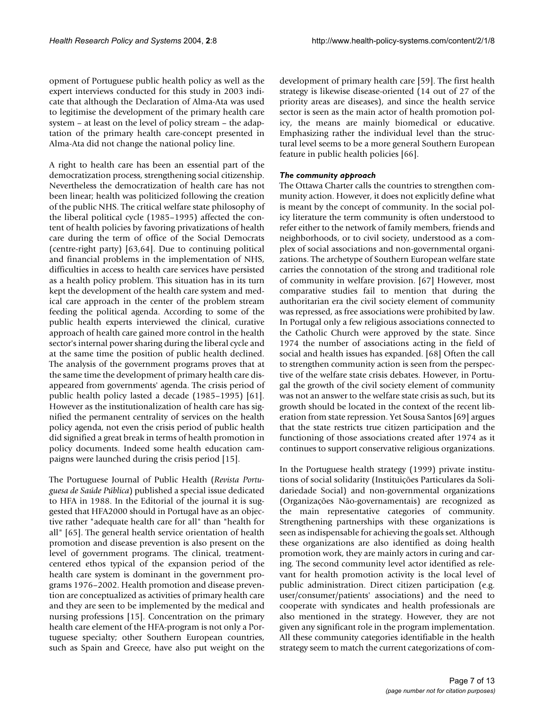opment of Portuguese public health policy as well as the expert interviews conducted for this study in 2003 indicate that although the Declaration of Alma-Ata was used to legitimise the development of the primary health care system – at least on the level of policy stream – the adaptation of the primary health care-concept presented in Alma-Ata did not change the national policy line.

A right to health care has been an essential part of the democratization process, strengthening social citizenship. Nevertheless the democratization of health care has not been linear; health was politicized following the creation of the public NHS. The critical welfare state philosophy of the liberal political cycle (1985–1995) affected the content of health policies by favoring privatizations of health care during the term of office of the Social Democrats (centre-right party) [63,64]. Due to continuing political and financial problems in the implementation of NHS, difficulties in access to health care services have persisted as a health policy problem. This situation has in its turn kept the development of the health care system and medical care approach in the center of the problem stream feeding the political agenda. According to some of the public health experts interviewed the clinical, curative approach of health care gained more control in the health sector's internal power sharing during the liberal cycle and at the same time the position of public health declined. The analysis of the government programs proves that at the same time the development of primary health care disappeared from governments' agenda. The crisis period of public health policy lasted a decade (1985–1995) [61]. However as the institutionalization of health care has signified the permanent centrality of services on the health policy agenda, not even the crisis period of public health did signified a great break in terms of health promotion in policy documents. Indeed some health education campaigns were launched during the crisis period [15].

The Portuguese Journal of Public Health (*Revista Portuguesa de Saúde Pública*) published a special issue dedicated to HFA in 1988. In the Editorial of the journal it is suggested that HFA2000 should in Portugal have as an objective rather "adequate health care for all" than "health for all" [65]. The general health service orientation of health promotion and disease prevention is also present on the level of government programs. The clinical, treatmentcentered ethos typical of the expansion period of the health care system is dominant in the government programs 1976–2002. Health promotion and disease prevention are conceptualized as activities of primary health care and they are seen to be implemented by the medical and nursing professions [15]. Concentration on the primary health care element of the HFA-program is not only a Portuguese specialty; other Southern European countries, such as Spain and Greece, have also put weight on the development of primary health care [59]. The first health strategy is likewise disease-oriented (14 out of 27 of the priority areas are diseases), and since the health service sector is seen as the main actor of health promotion policy, the means are mainly biomedical or educative. Emphasizing rather the individual level than the structural level seems to be a more general Southern European feature in public health policies [66].

#### *The community approach*

The Ottawa Charter calls the countries to strengthen community action. However, it does not explicitly define what is meant by the concept of community. In the social policy literature the term community is often understood to refer either to the network of family members, friends and neighborhoods, or to civil society, understood as a complex of social associations and non-governmental organizations. The archetype of Southern European welfare state carries the connotation of the strong and traditional role of community in welfare provision. [67] However, most comparative studies fail to mention that during the authoritarian era the civil society element of community was repressed, as free associations were prohibited by law. In Portugal only a few religious associations connected to the Catholic Church were approved by the state. Since 1974 the number of associations acting in the field of social and health issues has expanded. [68] Often the call to strengthen community action is seen from the perspective of the welfare state crisis debates. However, in Portugal the growth of the civil society element of community was not an answer to the welfare state crisis as such, but its growth should be located in the context of the recent liberation from state repression. Yet Sousa Santos [69] argues that the state restricts true citizen participation and the functioning of those associations created after 1974 as it continues to support conservative religious organizations.

In the Portuguese health strategy (1999) private institutions of social solidarity (Instituições Particulares da Solidariedade Social) and non-governmental organizations (Organizações Não-governamentais) are recognized as the main representative categories of community. Strengthening partnerships with these organizations is seen as indispensable for achieving the goals set. Although these organizations are also identified as doing health promotion work, they are mainly actors in curing and caring. The second community level actor identified as relevant for health promotion activity is the local level of public administration. Direct citizen participation (e.g. user/consumer/patients' associations) and the need to cooperate with syndicates and health professionals are also mentioned in the strategy. However, they are not given any significant role in the program implementation. All these community categories identifiable in the health strategy seem to match the current categorizations of com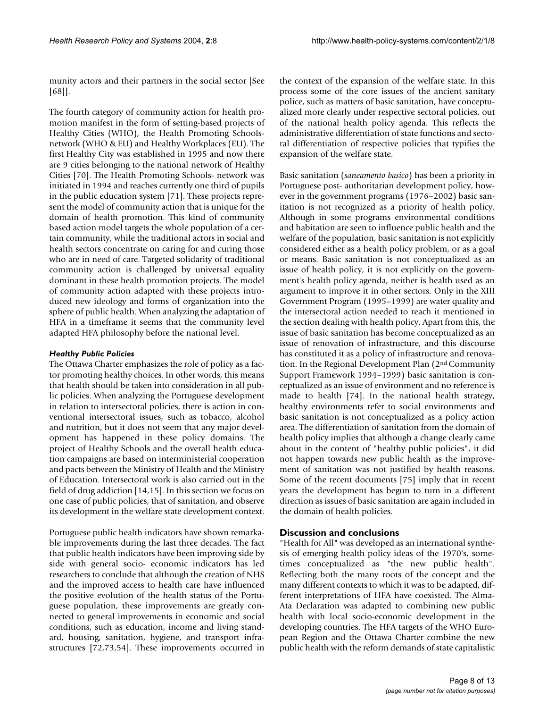munity actors and their partners in the social sector [See [68]].

The fourth category of community action for health promotion manifest in the form of setting-based projects of Healthy Cities (WHO), the Health Promoting Schoolsnetwork (WHO & EU) and Healthy Workplaces (EU). The first Healthy City was established in 1995 and now there are 9 cities belonging to the national network of Healthy Cities [70]. The Health Promoting Schools- network was initiated in 1994 and reaches currently one third of pupils in the public education system [71]. These projects represent the model of community action that is unique for the domain of health promotion. This kind of community based action model targets the whole population of a certain community, while the traditional actors in social and health sectors concentrate on caring for and curing those who are in need of care. Targeted solidarity of traditional community action is challenged by universal equality dominant in these health promotion projects. The model of community action adapted with these projects introduced new ideology and forms of organization into the sphere of public health. When analyzing the adaptation of HFA in a timeframe it seems that the community level adapted HFA philosophy before the national level.

### *Healthy Public Policies*

The Ottawa Charter emphasizes the role of policy as a factor promoting healthy choices. In other words, this means that health should be taken into consideration in all public policies. When analyzing the Portuguese development in relation to intersectoral policies, there is action in conventional intersectoral issues, such as tobacco, alcohol and nutrition, but it does not seem that any major development has happened in these policy domains. The project of Healthy Schools and the overall health education campaigns are based on interministerial cooperation and pacts between the Ministry of Health and the Ministry of Education. Intersectoral work is also carried out in the field of drug addiction [14,15]. In this section we focus on one case of public policies, that of sanitation, and observe its development in the welfare state development context.

Portuguese public health indicators have shown remarkable improvements during the last three decades. The fact that public health indicators have been improving side by side with general socio- economic indicators has led researchers to conclude that although the creation of NHS and the improved access to health care have influenced the positive evolution of the health status of the Portuguese population, these improvements are greatly connected to general improvements in economic and social conditions, such as education, income and living standard, housing, sanitation, hygiene, and transport infrastructures [72,73,54]. These improvements occurred in the context of the expansion of the welfare state. In this process some of the core issues of the ancient sanitary police, such as matters of basic sanitation, have conceptualized more clearly under respective sectoral policies, out of the national health policy agenda. This reflects the administrative differentiation of state functions and sectoral differentiation of respective policies that typifies the expansion of the welfare state.

Basic sanitation (*saneamento basico*) has been a priority in Portuguese post- authoritarian development policy, however in the government programs (1976–2002) basic sanitation is not recognized as a priority of health policy. Although in some programs environmental conditions and habitation are seen to influence public health and the welfare of the population, basic sanitation is not explicitly considered either as a health policy problem, or as a goal or means. Basic sanitation is not conceptualized as an issue of health policy, it is not explicitly on the government's health policy agenda, neither is health used as an argument to improve it in other sectors. Only in the XIII Government Program (1995–1999) are water quality and the intersectoral action needed to reach it mentioned in the section dealing with health policy. Apart from this, the issue of basic sanitation has become conceptualized as an issue of renovation of infrastructure, and this discourse has constituted it as a policy of infrastructure and renovation. In the Regional Development Plan (2nd Community Support Framework 1994–1999) basic sanitation is conceptualized as an issue of environment and no reference is made to health [74]. In the national health strategy, healthy environments refer to social environments and basic sanitation is not conceptualized as a policy action area. The differentiation of sanitation from the domain of health policy implies that although a change clearly came about in the content of "healthy public policies", it did not happen towards new public health as the improvement of sanitation was not justified by health reasons. Some of the recent documents [75] imply that in recent years the development has begun to turn in a different direction as issues of basic sanitation are again included in the domain of health policies.

# **Discussion and conclusions**

"Health for All" was developed as an international synthesis of emerging health policy ideas of the 1970's, sometimes conceptualized as "the new public health". Reflecting both the many roots of the concept and the many different contexts to which it was to be adapted, different interpretations of HFA have coexisted. The Alma-Ata Declaration was adapted to combining new public health with local socio-economic development in the developing countries. The HFA targets of the WHO European Region and the Ottawa Charter combine the new public health with the reform demands of state capitalistic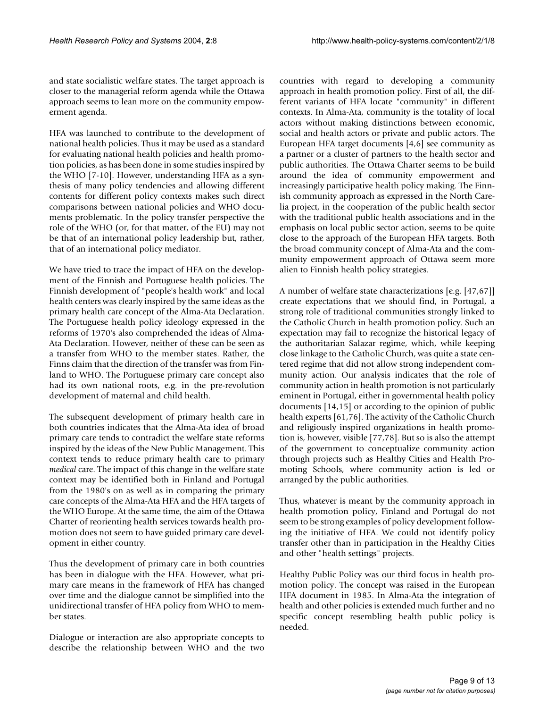and state socialistic welfare states. The target approach is closer to the managerial reform agenda while the Ottawa approach seems to lean more on the community empowerment agenda.

HFA was launched to contribute to the development of national health policies. Thus it may be used as a standard for evaluating national health policies and health promotion policies, as has been done in some studies inspired by the WHO [7-10]. However, understanding HFA as a synthesis of many policy tendencies and allowing different contents for different policy contexts makes such direct comparisons between national policies and WHO documents problematic. In the policy transfer perspective the role of the WHO (or, for that matter, of the EU) may not be that of an international policy leadership but, rather, that of an international policy mediator.

We have tried to trace the impact of HFA on the development of the Finnish and Portuguese health policies. The Finnish development of "people's health work" and local health centers was clearly inspired by the same ideas as the primary health care concept of the Alma-Ata Declaration. The Portuguese health policy ideology expressed in the reforms of 1970's also comprehended the ideas of Alma-Ata Declaration. However, neither of these can be seen as a transfer from WHO to the member states. Rather, the Finns claim that the direction of the transfer was from Finland to WHO. The Portuguese primary care concept also had its own national roots, e.g. in the pre-revolution development of maternal and child health.

The subsequent development of primary health care in both countries indicates that the Alma-Ata idea of broad primary care tends to contradict the welfare state reforms inspired by the ideas of the New Public Management. This context tends to reduce primary health care to primary *medical* care. The impact of this change in the welfare state context may be identified both in Finland and Portugal from the 1980's on as well as in comparing the primary care concepts of the Alma-Ata HFA and the HFA targets of the WHO Europe. At the same time, the aim of the Ottawa Charter of reorienting health services towards health promotion does not seem to have guided primary care development in either country.

Thus the development of primary care in both countries has been in dialogue with the HFA. However, what primary care means in the framework of HFA has changed over time and the dialogue cannot be simplified into the unidirectional transfer of HFA policy from WHO to member states.

Dialogue or interaction are also appropriate concepts to describe the relationship between WHO and the two

countries with regard to developing a community approach in health promotion policy. First of all, the different variants of HFA locate "community" in different contexts. In Alma-Ata, community is the totality of local actors without making distinctions between economic, social and health actors or private and public actors. The European HFA target documents [4,6] see community as a partner or a cluster of partners to the health sector and public authorities. The Ottawa Charter seems to be build around the idea of community empowerment and increasingly participative health policy making. The Finnish community approach as expressed in the North Carelia project, in the cooperation of the public health sector with the traditional public health associations and in the emphasis on local public sector action, seems to be quite close to the approach of the European HFA targets. Both the broad community concept of Alma-Ata and the community empowerment approach of Ottawa seem more alien to Finnish health policy strategies.

A number of welfare state characterizations [e.g. [47,67]] create expectations that we should find, in Portugal, a strong role of traditional communities strongly linked to the Catholic Church in health promotion policy. Such an expectation may fail to recognize the historical legacy of the authoritarian Salazar regime, which, while keeping close linkage to the Catholic Church, was quite a state centered regime that did not allow strong independent community action. Our analysis indicates that the role of community action in health promotion is not particularly eminent in Portugal, either in governmental health policy documents [14,15] or according to the opinion of public health experts [61,76]. The activity of the Catholic Church and religiously inspired organizations in health promotion is, however, visible [77,78]. But so is also the attempt of the government to conceptualize community action through projects such as Healthy Cities and Health Promoting Schools, where community action is led or arranged by the public authorities.

Thus, whatever is meant by the community approach in health promotion policy, Finland and Portugal do not seem to be strong examples of policy development following the initiative of HFA. We could not identify policy transfer other than in participation in the Healthy Cities and other "health settings" projects.

Healthy Public Policy was our third focus in health promotion policy. The concept was raised in the European HFA document in 1985. In Alma-Ata the integration of health and other policies is extended much further and no specific concept resembling health public policy is needed.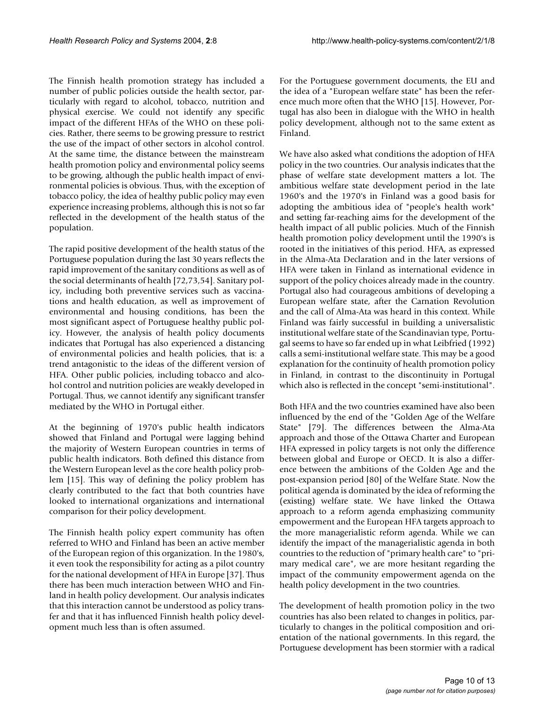The Finnish health promotion strategy has included a number of public policies outside the health sector, particularly with regard to alcohol, tobacco, nutrition and physical exercise. We could not identify any specific impact of the different HFAs of the WHO on these policies. Rather, there seems to be growing pressure to restrict the use of the impact of other sectors in alcohol control. At the same time, the distance between the mainstream health promotion policy and environmental policy seems to be growing, although the public health impact of environmental policies is obvious. Thus, with the exception of tobacco policy, the idea of healthy public policy may even experience increasing problems, although this is not so far reflected in the development of the health status of the population.

The rapid positive development of the health status of the Portuguese population during the last 30 years reflects the rapid improvement of the sanitary conditions as well as of the social determinants of health [72,73,54]. Sanitary policy, including both preventive services such as vaccinations and health education, as well as improvement of environmental and housing conditions, has been the most significant aspect of Portuguese healthy public policy. However, the analysis of health policy documents indicates that Portugal has also experienced a distancing of environmental policies and health policies, that is: a trend antagonistic to the ideas of the different version of HFA. Other public policies, including tobacco and alcohol control and nutrition policies are weakly developed in Portugal. Thus, we cannot identify any significant transfer mediated by the WHO in Portugal either.

At the beginning of 1970's public health indicators showed that Finland and Portugal were lagging behind the majority of Western European countries in terms of public health indicators. Both defined this distance from the Western European level as the core health policy problem [15]. This way of defining the policy problem has clearly contributed to the fact that both countries have looked to international organizations and international comparison for their policy development.

The Finnish health policy expert community has often referred to WHO and Finland has been an active member of the European region of this organization. In the 1980's, it even took the responsibility for acting as a pilot country for the national development of HFA in Europe [37]. Thus there has been much interaction between WHO and Finland in health policy development. Our analysis indicates that this interaction cannot be understood as policy transfer and that it has influenced Finnish health policy development much less than is often assumed.

For the Portuguese government documents, the EU and the idea of a "European welfare state" has been the reference much more often that the WHO [15]. However, Portugal has also been in dialogue with the WHO in health policy development, although not to the same extent as Finland.

We have also asked what conditions the adoption of HFA policy in the two countries. Our analysis indicates that the phase of welfare state development matters a lot. The ambitious welfare state development period in the late 1960's and the 1970's in Finland was a good basis for adopting the ambitious idea of "people's health work" and setting far-reaching aims for the development of the health impact of all public policies. Much of the Finnish health promotion policy development until the 1990's is rooted in the initiatives of this period. HFA, as expressed in the Alma-Ata Declaration and in the later versions of HFA were taken in Finland as international evidence in support of the policy choices already made in the country. Portugal also had courageous ambitions of developing a European welfare state, after the Carnation Revolution and the call of Alma-Ata was heard in this context. While Finland was fairly successful in building a universalistic institutional welfare state of the Scandinavian type, Portugal seems to have so far ended up in what Leibfried (1992) calls a semi-institutional welfare state. This may be a good explanation for the continuity of health promotion policy in Finland, in contrast to the discontinuity in Portugal which also is reflected in the concept "semi-institutional".

Both HFA and the two countries examined have also been influenced by the end of the "Golden Age of the Welfare State" [79]. The differences between the Alma-Ata approach and those of the Ottawa Charter and European HFA expressed in policy targets is not only the difference between global and Europe or OECD. It is also a difference between the ambitions of the Golden Age and the post-expansion period [80] of the Welfare State. Now the political agenda is dominated by the idea of reforming the (existing) welfare state. We have linked the Ottawa approach to a reform agenda emphasizing community empowerment and the European HFA targets approach to the more managerialistic reform agenda. While we can identify the impact of the managerialistic agenda in both countries to the reduction of "primary health care" to "primary medical care", we are more hesitant regarding the impact of the community empowerment agenda on the health policy development in the two countries.

The development of health promotion policy in the two countries has also been related to changes in politics, particularly to changes in the political composition and orientation of the national governments. In this regard, the Portuguese development has been stormier with a radical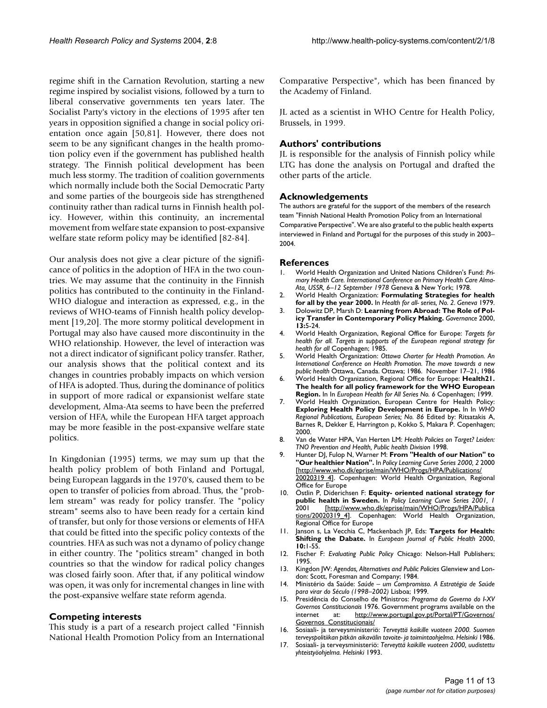regime shift in the Carnation Revolution, starting a new regime inspired by socialist visions, followed by a turn to liberal conservative governments ten years later. The Socialist Party's victory in the elections of 1995 after ten years in opposition signified a change in social policy orientation once again [50,81]. However, there does not seem to be any significant changes in the health promotion policy even if the government has published health strategy. The Finnish political development has been much less stormy. The tradition of coalition governments which normally include both the Social Democratic Party and some parties of the bourgeois side has strengthened continuity rather than radical turns in Finnish health policy. However, within this continuity, an incremental movement from welfare state expansion to post-expansive welfare state reform policy may be identified [82-84].

Our analysis does not give a clear picture of the significance of politics in the adoption of HFA in the two countries. We may assume that the continuity in the Finnish politics has contributed to the continuity in the Finland-WHO dialogue and interaction as expressed, e.g., in the reviews of WHO-teams of Finnish health policy development [19,20]. The more stormy political development in Portugal may also have caused more discontinuity in the WHO relationship. However, the level of interaction was not a direct indicator of significant policy transfer. Rather, our analysis shows that the political context and its changes in countries probably impacts on which version of HFA is adopted. Thus, during the dominance of politics in support of more radical or expansionist welfare state development, Alma-Ata seems to have been the preferred version of HFA, while the European HFA target approach may be more feasible in the post-expansive welfare state politics.

In Kingdonian (1995) terms, we may sum up that the health policy problem of both Finland and Portugal, being European laggards in the 1970's, caused them to be open to transfer of policies from abroad. Thus, the "problem stream" was ready for policy transfer. The "policy stream" seems also to have been ready for a certain kind of transfer, but only for those versions or elements of HFA that could be fitted into the specific policy contexts of the countries. HFA as such was not a dynamo of policy change in either country. The "politics stream" changed in both countries so that the window for radical policy changes was closed fairly soon. After that, if any political window was open, it was only for incremental changes in line with the post-expansive welfare state reform agenda.

#### **Competing interests**

This study is a part of a research project called "Finnish National Health Promotion Policy from an International Comparative Perspective", which has been financed by the Academy of Finland.

JL acted as a scientist in WHO Centre for Health Policy, Brussels, in 1999.

#### **Authors' contributions**

JL is responsible for the analysis of Finnish policy while LTG has done the analysis on Portugal and drafted the other parts of the article.

#### **Acknowledgements**

The authors are grateful for the support of the members of the research team "Finnish National Health Promotion Policy from an International Comparative Perspective". We are also grateful to the public health experts interviewed in Finland and Portugal for the purposes of this study in 2003– 2004.

#### **References**

- 1. World Health Organization and United Nations Children's Fund: *Primary Health Care. International Conference on Primary Health Care Alma-Ata, USSR, 6–12 September 1978* Geneva & New York; 1978.
- 2. World Health Organization: **Formulating Strategies for health for all by the year 2000.** In *Health for all- series, No. 2. Geneva* 1979.
- 3. Dolowitz DP, Marsh D: **Learning from Abroad: The Role of Policy Transfer in Contemporary Policy Making.** *Governance* 2000, **13:**5-24.
- 4. World Health Organization, Regional Office for Europe: *Targets for health for all. Targets in supports of the European regional strategy for health for all* Copenhagen; 1985.
- 5. World Health Organization: *Ottawa Charter for Health Promotion. An International Conference on Health Promotion. The move towards a new public health* Ottawa, Canada. Ottawa; 1986. November 17–21, 1986
- 6. World Health Organization, Regional Office for Europe: **Health21. The health for all policy framework for the WHO European Region.** In In *European Health for All Series No. 6* Copenhagen; 1999.
- 7. World Health Organization, European Centre for Health Policy: **Exploring Health Policy Development in Europe.** In In *WHO Regional Publications, European Series; No. 86* Edited by: Ritsatakis A, Barnes R, Dekker E, Harrington p, Kokko S, Makara P. Copenhagen; 2000.
- 8. Van de Water HPA, Van Herten LM: *Health Policies on Target? Leiden: TNO Prevention and Health, Public health Division* 1998.
- 9. Hunter DJ, Fulop N, Warner M: **From "Health of our Nation" to "Our healthier Nation".** In *Policy Learning Curve Series 2000, 2* 2000 [[http://www.who.dk/eprise/main/WHO/Progs/HPA/Publications/](http://www.who.dk/eprise/main/WHO/Progs/HPA/Publications/20020319_4) 20020319 4]. Copenhagen: World Health Organization, Regional Office for Europe
- 10. Östlin P, Diderichsen F: **Equity- oriented national strategy for public health in Sweden.** In *Policy Learning Curve Series 2001, 1* 2001 [[http://www.who.dk/eprise/main/WHO/Progs/HPA/Publica](http://www.who.dk/eprise/main/WHO/Progs/HPA/Publications/20020319_4) [tions/20020319\\_4](http://www.who.dk/eprise/main/WHO/Progs/HPA/Publications/20020319_4)]. Copenhagen: World Health Organization, Regional Office for Europe
- 11. Janson s, La Vecchia C, Mackenbach JP, Eds: **Targets for Health: Shifting the Dabate.** In *European Journal of Public Health* 2000, **10:**1-55.
- 12. Fischer F: *Evaluating Public Policy* Chicago: Nelson-Hall Publishers; 1995.
- 13. Kingdon JW: *Agendas, Alternatives and Public Policies* Glenview and London: Scott, Foresman and Company; 1984.
- 14. Ministério da Saúde: *Saúde um Compromisso. A Estratégia de Saúde para virar do Século (1998–2002)* Lisboa; 1999.
- 15. Presidência do Conselho de Ministros: *Programa do Governo do I-XV Governos Constitucionais* 1976. Government programs available on the internet at: [http://www.portugal.gov.pt/Portal/PT/Governos/](http://www.portugal.gov.pt/Portal/PT/Governos/Governos_Constitucionais/) Governos Constitucionais/
- 16. Sosiaali- ja terveysministeriö: *Terveyttä kaikille vuoteen 2000. Suomen terveyspolitiikan pitkän aikavälin tavoite- ja toimintaohjelma. Helsinki* 1986.
- 17. Sosiaali- ja terveysministeriö: *Terveyttä kaikille vuoteen 2000, uudistettu yhteistyöohjelma. Helsinki* 1993.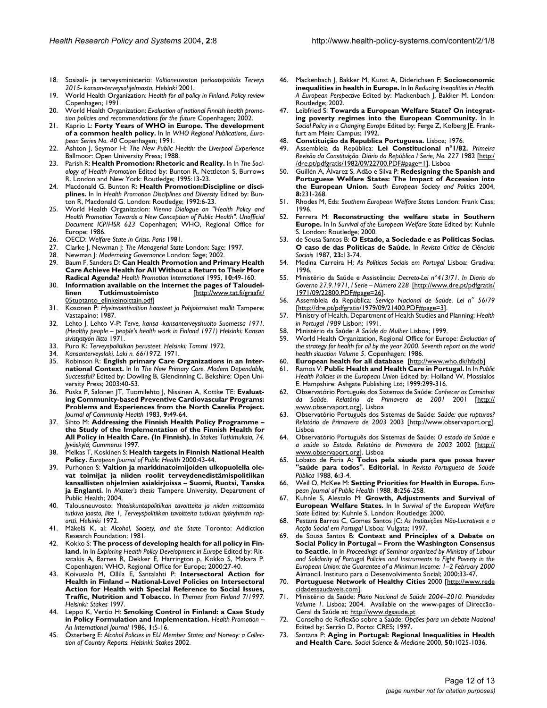- 18. Sosiaali- ja terveysministeriö: *Valtioneuvoston periaatepäätös Terveys 2015- kansan-terveysohjelmasta. Helsinki* 2001.
- 19. World Health Organization: *Health for all policy in Finland. Policy review* Copenhagen; 1991.
- 20. World Health Organization: *Evaluation of national Finnish health promotion policies and recommendations for the future* Copenhagen; 2002.
- 21. Kaprio L: **Forty Years of WHO in Europe. The development of a common health policy.** In In *WHO Regional Publications, European Series No. 40* Copenhagen; 1991.
- Ashton J, Seymor H: The New Public Health: the Liverpool Experience Ballmoor: Open University Press; 1988.
- 23. Parish R: **Health Promotion: Rhetoric and Reality.** In In *The Sociology of Health Promotion* Edited by: Bunton R, Nettleton S, Burrows R. London and New York: Routledge; 1995:13-23.
- 24. Macdonald G, Bunton R: **Health Promotion:Discipline or disciplines.** In In *Health Promotion Disciplines and Diversity* Edited by: Bunton R, Macdonald G. London: Routledge; 1992:6-23.
- 25. World Health Organization: *Vienna Dialogue on "Health Policy and Health Promotion Towards a New Conception of Public Health". Unofficial Document ICP/HSR 623* Copenhagen; WHO, Regional Office for Europe; 1986.
- 26. OECD: *Welfare State in Crisis. Paris* 1981.
- 27. Clarke J, Newman J: *The Managerial State* London: Sage; 1997.
- 28. Newman J: *Modernising Governance* London: Sage; 2002.
- Baum F, Sanders D: Can Health Promotion and Primary Health **Care Achieve Health for All Without a Return to Their More Radical Agenda?** *Health Promotion International* 1995, **10:**49-160.
- 30. **Information available on the internet the pages of Taloudellinen Tutkimustoimisto** [\[http://www.tat.fi/graafit/](http://www.tat.fi/graafit/05tuotanto_elinkeinoittain.pdf) [05tuotanto\\_elinkeinoittain.pdf\]](http://www.tat.fi/graafit/05tuotanto_elinkeinoittain.pdf)
- 31. Kosonen P: *Hyvinvointivaltion haasteet ja Pohjoismaiset mallit* Tampere: Vastapaino; 1987.
- 32. Lehto J, Lehto V-P: *Terve, kansa -kansanterveyshuolto Suomessa 1971. (Healthy people – people's health work in Finland 1971) Helsinki: Kansan sivistystyön liitto* 1971.
- 33. Puro K: *Terveyspolitiikan perusteet. Helsinki: Tammi* 1972.
- 34. *Kansanterveyslaki. Laki n. 66/1972.* 1971.
- 35. Robinson R: **English primary Care Organizations in an International Context.** In In *The New Primary Care. Modern Dependable, Successful?* Edited by: Dowling B, Glendinning C. Bekshire: Open University Press; 2003:40-53.
- 36. Puska P, Salonen JT, Tuomilehto J, Nissinen A, Kottke TE: **[Evaluat](http://www.ncbi.nlm.nih.gov/entrez/query.fcgi?cmd=Retrieve&db=PubMed&dopt=Abstract&list_uids=6678258)[ing Community-based Preventive Cardiovascular Programs:](http://www.ncbi.nlm.nih.gov/entrez/query.fcgi?cmd=Retrieve&db=PubMed&dopt=Abstract&list_uids=6678258) Problems and Experiences from the North Carelia Project.** *Journal of Community Health* 1983, **9:**49-64.
- Sihto M: Addressing the Finnish Health Policy Programme **the Study of the Implementation of the Finnish Health for All Policy in Health Care. (In Finnish).** In *Stakes Tutkimuksia, 74. Jyväskylä; Gummerus* 1997.
- 38. Melkas T, Koskinen S: **Health targets in Finnish National Health Policy.** *European Journal of Public Health* 2000:43-44.
- 39. Purhonen S: **Valtion ja markkinatoimijoiden ulkopuolella olevat toimijat ja niiden roolit terveydenedistämispolitiikan kansallisten ohjelmien asiakirjoissa – Suomi, Ruotsi, Tanska ja Englanti.** In *Master's thesis* Tampere University, Department of Public Health; 2004.
- 40. Talousneuvosto: *Yhteiskuntapolitiikan tavoitteita ja niiden mittaamista tutkiva jaosto, liite 1, Terveyspolitiikan tavoitteita tutkivan työryhmän raportti. Helsinki* 1972.
- 41. Mäkelä K, al: *Alcohol, Society, and the State* Toronto: Addiction Research Foundation; 1981.
- 42. Kokko S: **The process of developing health for all policy in Finland.** In In *Exploring Health Policy Development in Europe* Edited by: Ritsatakis A, Barnes R, Dekker E, Harrington p, Kokko S, Makara P. Copenhagen; WHO, Regional Office for Europe; 2000:27-40.
- 43. Koivusalo M, Ollila E, Santalahti P: **Intersectoral Action for Health in Finland – National-Level Policies on Intersectoral Action for Health with Special Reference to Social Issues, Traffic, Nutrition and Tobacco.** In *Themes from Finland 7/1997. Helsinki: Stakes* 1997.
- 44. Leppo K, Vertio H: **Smoking Control in Finland: a Case Study in Policy Formulation and Implementation.** *Health Promotion – An International Journal* 1986, **1:**5-16.
- 45. Österberg E: *Alcohol Policies in EU Member States and Norway: a Collection of Country Reports. Helsinki: Stakes* 2002.
- 46. Mackenbach J, Bakker M, Kunst A, Diderichsen F: **Socioeconomic inequalities in health in Europe.** In In *Reducing Ineqalities in Health. A European Perspective* Edited by: Mackenbach J, Bakker M. London: Routledge; 2002.
- 47. Leibfried S: **Towards a European Welfare State? On integrating poverty regimes into the European Community.** In In *Social Policy in a Changing Europe* Edited by: Ferge Z, Kolberg JE. Frankfurt am Mein: Campus; 1992.
- 48. **Constituição da Republica Portuguesa.** Lisboa; 1976.
- 49. Assembleia da República: **Lei Constitucional n°1/82.** *Primeira Revisão da Constituição. Diário da República I Serie, No. 227* 1982 [[http:/](http://dre.pt/pdfgratis/1982/09/22700.PDF#page=1) [/dre.pt/pdfgratis/1982/09/22700.PDF#page=1\]](http://dre.pt/pdfgratis/1982/09/22700.PDF#page=1). Lisboa
- 50. Guillén A, Álvarez S, Adão e Silva P: **Redesigning the Spanish and Portuguese Welfare States: The Impact of Accession into the European Union.** *South European Society and Politics* 2004, **8:**231-268.
- 51. Rhodes M, Eds: *Southern European Welfare States* London: Frank Cass; 1996.
- 52. Ferrera M: **Reconstructing the welfare state in Southern Europe.** In In *Survival of the European Welfare State* Edited by: Kuhnle S. London: Routledge; 2000.
- 53. de Sousa Santos B: **O Estado, a Sociedade e as Políticas Socias. O caso de das Políticas de Saúde.** In *Revista Crítica de Ciênciais Sociais* 1987, **23:**13-74.
- 54. Medina Carreira H: *As Políticas Sociais em Portugal* Lisboa: Gradiva; 1996.
- 55. Ministério da Saúde e Assistência: *Decreto-Lei n°413/71. In Diario do Governo 27.9.1971, I Serie – Número 228* [[http://www.dre.pt/pdfgratis/](http://www.dre.pt/pdfgratis/1971/09/22800.PDF#page=26) [1971/09/22800.PDF#page=26](http://www.dre.pt/pdfgratis/1971/09/22800.PDF#page=26)].
- 56. Assembleia da República: *Serviço Nacional de Saúde. Lei n° 56/79* [[http://dre.pt/pdfgratis/1979/09/21400.PDF#page=3\]](http://dre.pt/pdfgratis/1979/09/21400.PDF#page=3).
- 57. Ministry of Health, Department of Health Studies and Planning: *Health in Portugal 1989* Lisbon; 1991.
- 58. Ministério da Saúde: *A Saúde da Mulher* Lisboa; 1999.
- 59. World Health Organization, Regional Office for Europe: *Evaluation of the strategy for health for all by the year 2000. Seventh report on the world health situation Volume 5*. Copenhagen; 1986.
- 60. **European health for all database** [\[http://www.who.dk/hfadb](http://www.who.dk/hfadb)]
- 61. Ramos V: **Public Health and Health Care in Portugal.** In In *Public Health Policies in the European Union* Edited by: Holland W, Mossialos E. Hampshire: Ashgate Publishing Ltd; 1999:299-316.
- 62. Observatório Português dos Sistemas de Saúde: *Conhecer os Caminhos da Saúde. Relatório de Primavera de 2001* 2001 [\[http://](http://www.observaport.org) [www.observaport.org](http://www.observaport.org)]. Lisboa
- 63. Observatório Português dos Sistemas de Saúde: *Saúde: que rupturas? Relatório de Primavera de 2003* 2003 [[http://www.observaport.org\]](http://www.observaport.org). Lisboa
- 64. Observatório Português dos Sistemas de Saúde: *O estado da Saúde e a saúde so Estado. Relatório de Primavera de 2003* 2002 [\[http://](http://www.observaport.org) [www.observaport.org](http://www.observaport.org)]. Lisboa
- 65. Lobato de Faria A: **Todos pela sáude para que possa haver "saúde para todos". Editorial.** In *Revista Portuguesa de Saúde Pública* 1988, **6:**3-4.
- 66. Weil O, McKee M: **Setting Priorities for Health in Europe.** *European Journal of Public Health* 1988, **8:**256-258.
- 67. Kuhnle S, Alestalo M: **Growth, Adjustments and Survival of European Welfare States.** In In *Survival of the European Welfare State* Edited by: Kuhnle S. London: Routledge; 2000.
- 68. Pestana Barros C, Gomes Santos JC: *As Instituições Não-Lucrativas e a Acção Social em Portugal* Lisboa: Vulgata; 1997.
- 69. de Sousa Santos B: **Context and Principles of a Debate on Social Policy in Portugal – From the Washington Consensus to Seattle.** In In *Proceedings of Seminar organized by Ministry of Labour and Solidarity of Portugal Policies and Instruments to Fight Poverty in the European Union: the Guarantee of a Minimun Income: 1–2 February 2000* Almancil. Instituto para o Desenvolvimento Social; 2000:33-47.
- 70. **Portuguese Network of Healthy Cities** 2000 [[http://www.rede](http://www.redecidadessaudaveis.com) [cidadessaudaveis.com\]](http://www.redecidadessaudaveis.com).
- 71. Ministério da Saúde: *Plano Nacional de Saúde 2004–2010. Prioridades Volume 1*. Lisboa; 2004. Available on the www-pages of DireccãoGeral da Saúde at:<http://www.dgsaude.pt>
- 72. Conselho de Reflexão sobre a Saúde: *Opções para um debate Nacional* Edited by: Serrão D. Porto: CRES; 1997.
- 73. Santana P: **[Aging in Portugal: Regional Inequalities in Health](http://www.ncbi.nlm.nih.gov/entrez/query.fcgi?cmd=Retrieve&db=PubMed&dopt=Abstract&list_uids=10714924) [and Health Care.](http://www.ncbi.nlm.nih.gov/entrez/query.fcgi?cmd=Retrieve&db=PubMed&dopt=Abstract&list_uids=10714924)** *Social Science & Medicine* 2000, **50:**1025-1036.